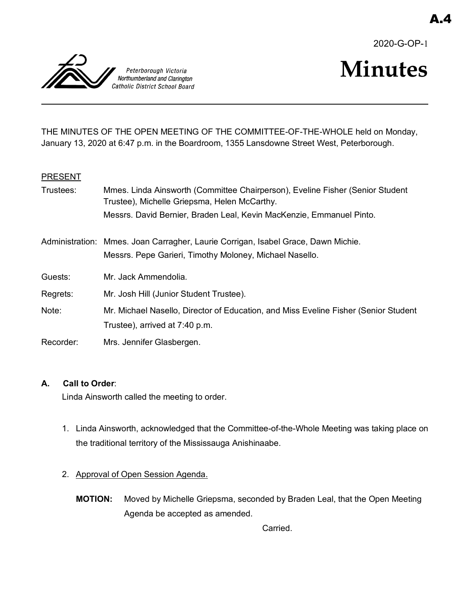2020-G-OP-1



# **Minutes**

THE MINUTES OF THE OPEN MEETING OF THE COMMITTEE-OF-THE-WHOLE held on Monday, January 13, 2020 at 6:47 p.m. in the Boardroom, 1355 Lansdowne Street West, Peterborough.

#### **PRESENT**

| Trustees: | Mmes. Linda Ainsworth (Committee Chairperson), Eveline Fisher (Senior Student<br>Trustee), Michelle Griepsma, Helen McCarthy. |
|-----------|-------------------------------------------------------------------------------------------------------------------------------|
|           | Messrs. David Bernier, Braden Leal, Kevin MacKenzie, Emmanuel Pinto.                                                          |
|           | Administration: Mmes. Joan Carragher, Laurie Corrigan, Isabel Grace, Dawn Michie.                                             |
|           | Messrs. Pepe Garieri, Timothy Moloney, Michael Nasello.                                                                       |
| Guests:   | Mr. Jack Ammendolia.                                                                                                          |
| Regrets:  | Mr. Josh Hill (Junior Student Trustee).                                                                                       |
| Note:     | Mr. Michael Nasello, Director of Education, and Miss Eveline Fisher (Senior Student                                           |
|           | Trustee), arrived at 7:40 p.m.                                                                                                |
| Recorder: | Mrs. Jennifer Glasbergen.                                                                                                     |

#### **A. Call to Order**:

Linda Ainsworth called the meeting to order.

- 1. Linda Ainsworth, acknowledged that the Committee-of-the-Whole Meeting was taking place on the traditional territory of the Mississauga Anishinaabe.
- 2. Approval of Open Session Agenda.
	- **MOTION:** Moved by Michelle Griepsma, seconded by Braden Leal, that the Open Meeting Agenda be accepted as amended.

Carried.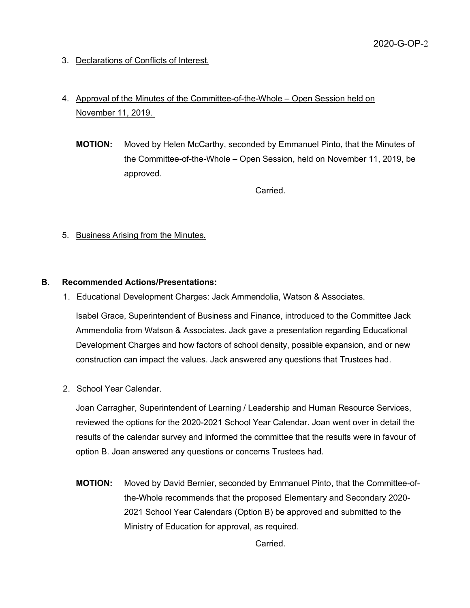3. Declarations of Conflicts of Interest.

# 4. Approval of the Minutes of the Committee-of-the-Whole – Open Session held on November 11, 2019.

**MOTION:** Moved by Helen McCarthy, seconded by Emmanuel Pinto, that the Minutes of the Committee-of-the-Whole – Open Session, held on November 11, 2019, be approved.

Carried.

5. Business Arising from the Minutes.

#### **B. Recommended Actions/Presentations:**

1. Educational Development Charges: Jack Ammendolia, Watson & Associates.

Isabel Grace, Superintendent of Business and Finance, introduced to the Committee Jack Ammendolia from Watson & Associates. Jack gave a presentation regarding Educational Development Charges and how factors of school density, possible expansion, and or new construction can impact the values. Jack answered any questions that Trustees had.

# 2. School Year Calendar.

Joan Carragher, Superintendent of Learning / Leadership and Human Resource Services, reviewed the options for the 2020-2021 School Year Calendar. Joan went over in detail the results of the calendar survey and informed the committee that the results were in favour of option B. Joan answered any questions or concerns Trustees had.

**MOTION:** Moved by David Bernier, seconded by Emmanuel Pinto, that the Committee-ofthe-Whole recommends that the proposed Elementary and Secondary 2020- 2021 School Year Calendars (Option B) be approved and submitted to the Ministry of Education for approval, as required.

Carried.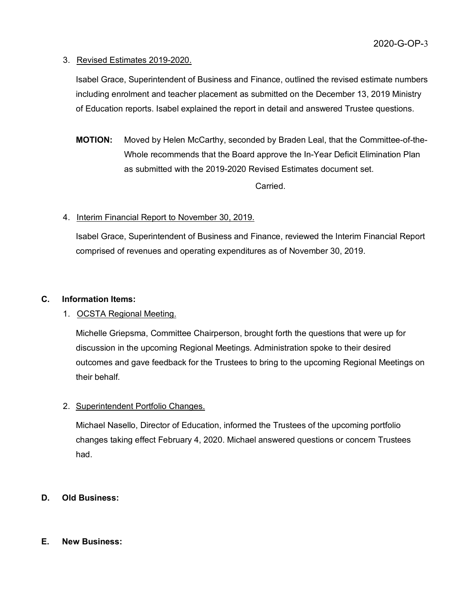#### 3. Revised Estimates 2019-2020.

Isabel Grace, Superintendent of Business and Finance, outlined the revised estimate numbers including enrolment and teacher placement as submitted on the December 13, 2019 Ministry of Education reports. Isabel explained the report in detail and answered Trustee questions.

**MOTION:** Moved by Helen McCarthy, seconded by Braden Leal, that the Committee-of-the-Whole recommends that the Board approve the In-Year Deficit Elimination Plan as submitted with the 2019-2020 Revised Estimates document set.

**Carried** 

# 4. Interim Financial Report to November 30, 2019.

Isabel Grace, Superintendent of Business and Finance, reviewed the Interim Financial Report comprised of revenues and operating expenditures as of November 30, 2019.

### **C. Information Items:**

# 1. OCSTA Regional Meeting.

Michelle Griepsma, Committee Chairperson, brought forth the questions that were up for discussion in the upcoming Regional Meetings. Administration spoke to their desired outcomes and gave feedback for the Trustees to bring to the upcoming Regional Meetings on their behalf.

# 2. Superintendent Portfolio Changes.

Michael Nasello, Director of Education, informed the Trustees of the upcoming portfolio changes taking effect February 4, 2020. Michael answered questions or concern Trustees had.

# **D. Old Business:**

#### **E. New Business:**